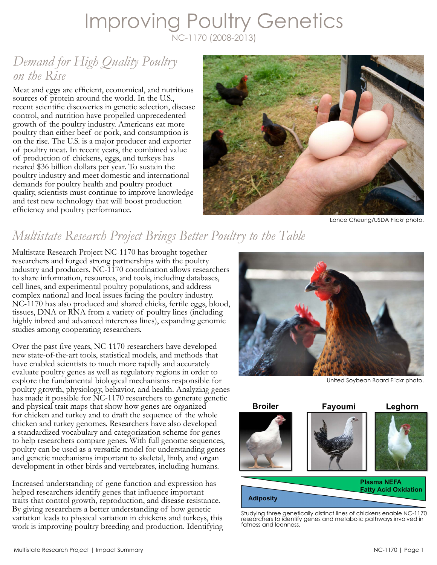## Improving Poultry Genetics NC-1170 (2008-2013)

## *Demand for High Quality Poultry on the Rise*

Meat and eggs are efficient, economical, and nutritious sources of protein around the world. In the U.S., recent scientific discoveries in genetic selection, disease control, and nutrition have propelled unprecedented growth of the poultry industry. Americans eat more poultry than either beef or pork, and consumption is on the rise. The U.S. is a major producer and exporter of poultry meat. In recent years, the combined value of production of chickens, eggs, and turkeys has neared \$36 billion dollars per year. To sustain the poultry industry and meet domestic and international demands for poultry health and poultry product quality, scientists must continue to improve knowledge and test new technology that will boost production efficiency and poultry performance.



Lance Cheung/USDA Flickr photo.

# *Multistate Research Project Brings Better Poultry to the Table*

Multistate Research Project NC-1170 has brought together researchers and forged strong partnerships with the poultry industry and producers. NC-1170 coordination allows researchers to share information, resources, and tools, including databases, cell lines, and experimental poultry populations, and address complex national and local issues facing the poultry industry. NC-1170 has also produced and shared chicks, fertile eggs, blood, tissues, DNA or RNA from a variety of poultry lines (including highly inbred and advanced intercross lines), expanding genomic studies among cooperating researchers.

Over the past five years, NC-1170 researchers have developed new state-of-the-art tools, statistical models, and methods that have enabled scientists to much more rapidly and accurately evaluate poultry genes as well as regulatory regions in order to explore the fundamental biological mechanisms responsible for poultry growth, physiology, behavior, and health. Analyzing genes has made it possible for NC-1170 researchers to generate genetic and physical trait maps that show how genes are organized for chicken and turkey and to draft the sequence of the whole chicken and turkey genomes. Researchers have also developed a standardized vocabulary and categorization scheme for genes to help researchers compare genes. With full genome sequences, poultry can be used as a versatile model for understanding genes and genetic mechanisms important to skeletal, limb, and organ development in other birds and vertebrates, including humans.

Increased understanding of gene function and expression has helped researchers identify genes that influence important traits that control growth, reproduction, and disease resistance. By giving researchers a better understanding of how genetic variation leads to physical variation in chickens and turkeys, this work is improving poultry breeding and production. Identifying



United Soybean Board Flickr photo.



Studying three genetically distinct lines of chickens enable NC-1170 researchers to identify genes and metabolic pathways involved in fatness and leanness.